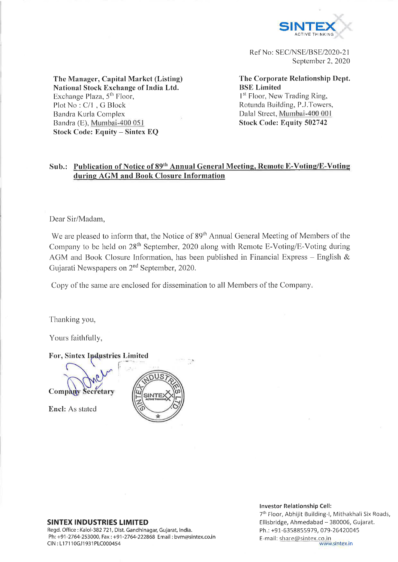

Ref No: SEC/NSE/BSE/2020-21 September 2, 2020

**The Manager, Capital Market (Listing) National Stock Exchange of India Ltd.** Exchange Plaza, 5<sup>th</sup> Floor, Plot No : C/l , G Block Bandra Kurla Complex **Bandra (E), Mumbai-400 051 Stock Code: Equity - Sintex EQ**

**The Corporate Relationship Dept. BSE Limited** 1<sup>st</sup> Floor, New Trading Ring,

Rotunda Building, P..I.Towers, **Dalai Street, Mumbai-400 001 Stock Code: Equity 502742**

# **Sub.: Publication of Notice of 89th Annual General Meeting, Remote E-Voting/E-Voting during AGM and Book Closure Information**

Dear Sir/Madam,

We are pleased to inform that, the Notice of 89<sup>th</sup> Annual General Meeting of Members of the Company to be held on 28<sup>th</sup> September, 2020 along with Remote E-Voting/E-Voting during AGM and Book Closure Information, has been published in Financial Express – English  $\&$ Gujarati Newspapers on  $2<sup>nd</sup>$  September, 2020.

Copy of the same are enclosed for dissemination to all Members of the Company.

Thanking you,

Yours faithfully,

For, Sintex Industries Limited **Company Secretary** Encl: As stated

Regd. Office : Kalol-382 721, Dist. Gandhinagar, Gujarat, India. Ph: +91-2764-253000, Fax: +91-2764-222868 Email: [bvm@sintex.co.in](mailto:bvm@sintex.co.in) <br>CIN: L17110GJ1931PLC000454 www.sintex.in CIN: L17110GJ1931PLC000454

**Investor Relationship Cell:** 

7<sup>th</sup> Floor, Abhijit Building-I, Mithakhali Six Roads, **SINTEX INDUSTRIES LIMITED**<br>
Regd. Office: Kalol-382 721, Dist. Gandhinagar, Gujarat, India.<br>
Ph.: +91-6358855979, 079-26420045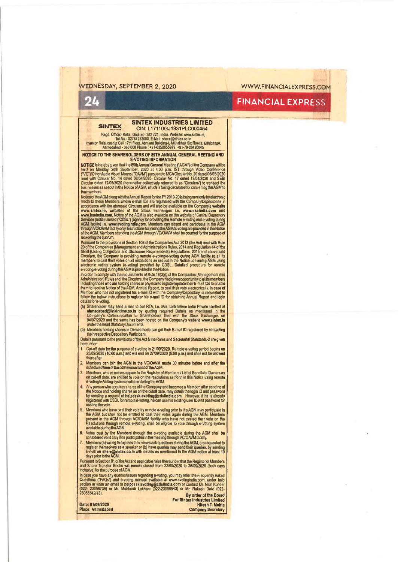## **WEDNESDAY, SEPTEMBER 2, 2020 [WWW.FINANCIALEXPRESS.COM](http://WWW.FINANCIALEXPRESS.COM)**

# **24 FINANCIAL EXPRESS**

### **SINTEX INDUSTRIES LIMITED SINTEX CIN: L**17110**GJ**1931**PLC**000454

Regd. Omca:- Kalol, Gujarat - 382 721, India. Website: www.sinlex.in,<br>TeLNo. 02754/253000, E-Mall: share@sinlex.co.in<br>Investor Relationship Cell : 7th Floor, Abhileet Building-I, Mithakhali Six Roads, Ellisbridge,<br>Ahmeda

**NOTICE TO THE SHAREHOLDERS OF 89TH ANNUAL GENERAL MEETING AND E-VOTING INFORMATION** 

E-VOTING INFORMATION<br>
NOTICE is hereby given that the B9th Annual General Mesulty of MGM 1 of Monday, 28th September, 2020 at 4:00 p.m. IST through Video Conference<br>
("VC")/Other Audio Visual Means ("OAVM") pursuant to MCA the members.

Notice of tho AGM along with the Annual Report (or the FY 2019-20 is being sent only by electronic mode to those Members whose e-mail IDs are registered with the Company/Depositories in<br>accordence with the aforesial Circulars and will also be available on the Company's website<br>www.sintex.in, websites of the Stock. Excha reckoning the quorum.

Pursuanl to the provisions of Section 108 of the Companies Act, 2013 (the Act) read with Rule 20 of the Companies (Management and Administration) Rules, 2014 and Regulation 44 of the<br>SEBI (Listing Obligations and Disclosure Requirements) Regulations, 2015 and above said Circulars, the Company is providing remote e-voting/e-voting during AGM facility to all its<br>members to cast their votes on all resolutions as set out in the Notice convening AGM using<br>electronic voting system (e-voting) pr

In order to comply with the requirements of Rulo 18(3)(i) of the Companies (Managemant and<br>Administration) Rules and the Circulars, the Company had given opportunity to all its members<br>Including those who are holding share **details fere-voting.**

- (a) Shareholder may send a mall to our RTA. l.e, M/s. Link Inilme India Private Limited at altimedabad@linkintime.co.in by quoting required Defails as mentioned in the<br>Company's Communication to Shareholders filed with the Stock Exchanges on<br>04/07/2020 and the same has been hosted on the Company's website www.si
- (b) Members holding shares in Demat mode can gel their E-mail ID registered by contacting lltalr respective Depository Participant
- Details pursuant to the provisions of the Act & the Rules and Secretarial Standards-2 are given hereunder:
- 1. Cut-off date for the purpose of e-voting is 21/09/2020. Remote e-voting period begins on<br>25/09/2020 (10:00 a.m.) and will end on 27/09/2020 (5:00 p.m.) and shall not be allowed thereafter.
- 2. Members can join the AGM In the VC/OAVM mode 30 minutes before and after the scheduledtima ofthe commencementof theAGM.
- 3. Mambars, whose names appear in the Register of Members / List of Benelicial Owners as<br>On cul-off data, are entitled to vote on the resolutions set forth in this Notice using remote<br>e-voting/e-Voting system available dur
- 4. Any person who acquires shares of the Company and becomes a Member, after sending of<br>the Notice and holding shares as on the culoff date, may obtain the login 10 and password<br>by sending a request at halpdask avoiting@cd asting the vote.
- 5. Members who have cast their vote by remote e-voting prior to the AGM may participate in<br>the AGM but shall not be enfitted to cast their votes again during the AGM. Members<br>present in the AGM through VC/OAVM facility who
- 6. Votes cast by the Members through the e-votlng available during the AGM shall be considered valid only llhe participates In the mealing through VC/OAVM facility.
- Members (a) willing to express their views/ask questions during the AGM, are requested to register themselves as a speaker or (b) have queries may send their<br>E-mail on shara@sintex.co.in with details as mentioned in the AGI<br>daysprior to the AGM.

Pursuant lo Section 91 of the Act and applicable rules thereunder that the Register of Mambers<br>and Share Transfer Books will remain closed from 22/09/2020 to 28/09/2020 (both days Inclusive) for Ihe purpose of AGM.

In case you have any queries/issues regarding e-voling, you may refer the Frequently Asked<br>Questions ("FAQs") and e-voling manual available at www.evolingindia.com, under help<br>section or write an omall to helpdask.sveting@ 23058542/43). **By order of the Board**

Limited<br>. Mehta

| Date: 01/09/2020 | <b>For Sintex Industries Limited</b><br><b>Hitesh T. Mehta</b> |
|------------------|----------------------------------------------------------------|
| Place: Ahmedabad | <b>Company Secretary</b>                                       |